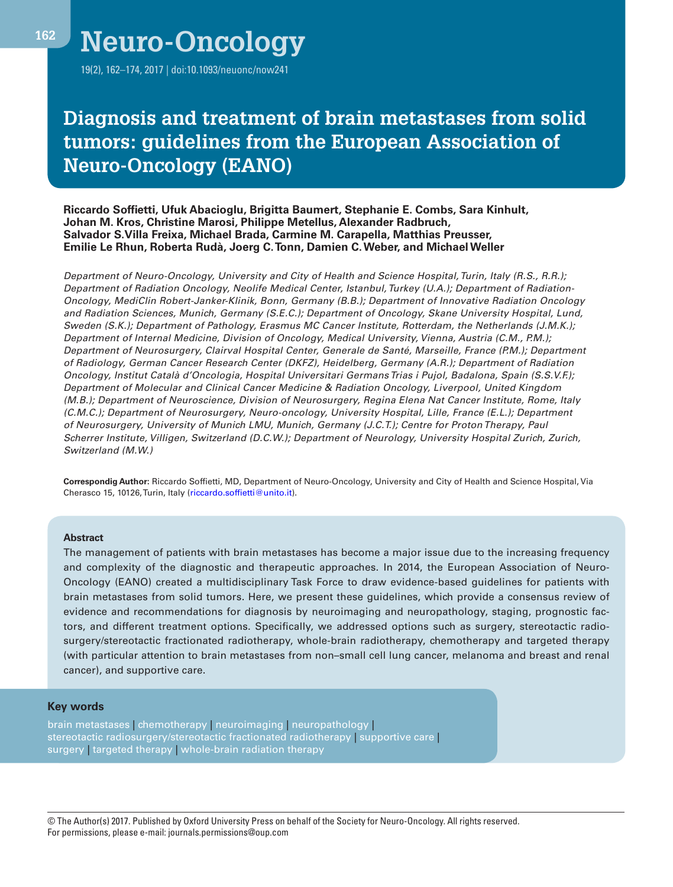**<sup>162</sup> Neuro-Oncology**

19(2), 162–174, 2017 | doi:10.1093/neuonc/now241

# **Diagnosis and treatment of brain metastases from solid tumors: guidelines from the European Association of Neuro-Oncology (EANO)**

**Riccardo Soffietti, Ufuk Abacioglu, Brigitta Baumert, Stephanie E. Combs, Sara Kinhult, Johan M. Kros, Christine Marosi, Philippe Metellus, Alexander Radbruch, Salvador S.Villa Freixa, Michael Brada, Carmine M. Carapella, Matthias Preusser, Emilie Le Rhun, Roberta Rudà, Joerg C. Tonn, Damien C. Weber, and Michael Weller**

*Department of Neuro-Oncology, University and City of Health and Science Hospital, Turin, Italy (R.S., R.R.); Department of Radiation Oncology, Neolife Medical Center, Istanbul, Turkey (U.A.); Department of Radiation-Oncology, MediClin Robert-Janker-Klinik, Bonn, Germany (B.B.); Department of Innovative Radiation Oncology and Radiation Sciences, Munich, Germany (S.E.C.); Department of Oncology, Skane University Hospital, Lund, Sweden (S.K.); Department of Pathology, Erasmus MC Cancer Institute, Rotterdam, the Netherlands (J.M.K.); Department of Internal Medicine, Division of Oncology, Medical University, Vienna, Austria (C.M., P.M.); Department of Neurosurgery, Clairval Hospital Center, Generale de Santé, Marseille, France (P.M.); Department of Radiology, German Cancer Research Center (DKFZ), Heidelberg, Germany (A.R.); Department of Radiation Oncology, Institut Català d'Oncologia, Hospital Universitari Germans Trias i Pujol, Badalona, Spain (S.S.V.F.); Department of Molecular and Clinical Cancer Medicine & Radiation Oncology, Liverpool, United Kingdom (M.B.); Department of Neuroscience, Division of Neurosurgery, Regina Elena Nat Cancer Institute, Rome, Italy (C.M.C.); Department of Neurosurgery, Neuro-oncology, University Hospital, Lille, France (E.L.); Department of Neurosurgery, University of Munich LMU, Munich, Germany (J.C.T.); Centre for Proton Therapy, Paul Scherrer Institute, Villigen, Switzerland (D.C.W.); Department of Neurology, University Hospital Zurich, Zurich, Switzerland (M.W.)*

**Correspondig Author:** Riccardo Soffietti, MD, Department of Neuro-Oncology, University and City of Health and Science Hospital, Via Cherasco 15, 10126, Turin, Italy ([riccardo.soffietti@unito.it\)](mailto:riccardo.soffietti@unito.it?subject=).

#### **Abstract**

The management of patients with brain metastases has become a major issue due to the increasing frequency and complexity of the diagnostic and therapeutic approaches. In 2014, the European Association of Neuro-Oncology (EANO) created a multidisciplinary Task Force to draw evidence-based guidelines for patients with brain metastases from solid tumors. Here, we present these guidelines, which provide a consensus review of evidence and recommendations for diagnosis by neuroimaging and neuropathology, staging, prognostic factors, and different treatment options. Specifically, we addressed options such as surgery, stereotactic radiosurgery/stereotactic fractionated radiotherapy, whole-brain radiotherapy, chemotherapy and targeted therapy (with particular attention to brain metastases from non–small cell lung cancer, melanoma and breast and renal cancer), and supportive care.

### **Key words**

brain metastases | chemotherapy | neuroimaging | neuropathology | stereotactic radiosurgery/stereotactic fractionated radiotherapy | supportive care | surgery | targeted therapy | whole-brain radiation therapy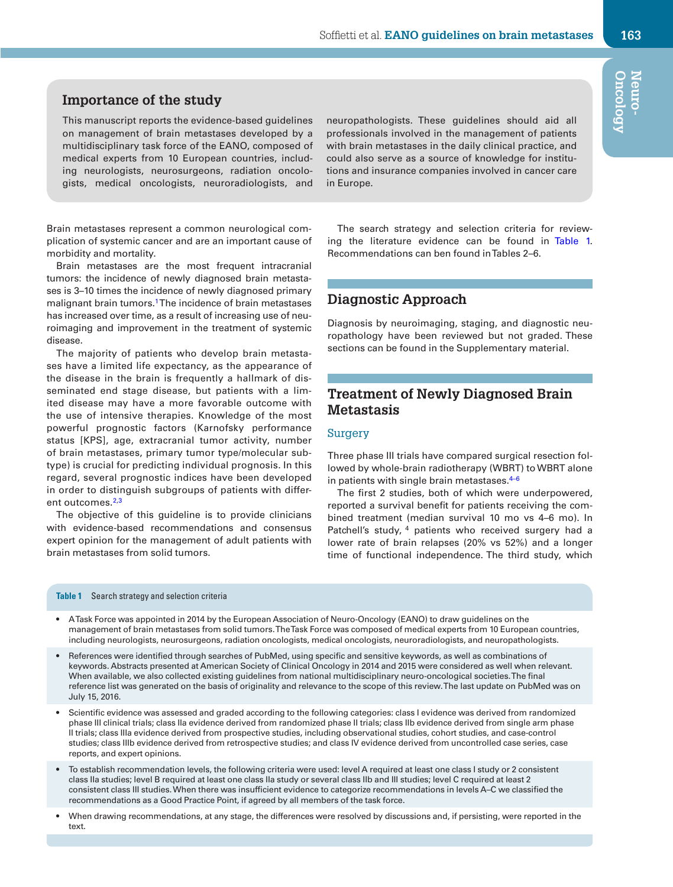### **Importance of the study**

This manuscript reports the evidence-based guidelines on management of brain metastases developed by a multidisciplinary task force of the EANO, composed of medical experts from 10 European countries, including neurologists, neurosurgeons, radiation oncologists, medical oncologists, neuroradiologists, and

Brain metastases represent a common neurological complication of systemic cancer and are an important cause of morbidity and mortality.

Brain metastases are the most frequent intracranial tumors: the incidence of newly diagnosed brain metastases is 3–10 times the incidence of newly diagnosed primary malignant brain tumors.<sup>1</sup> The incidence of brain metastases has increased over time, as a result of increasing use of neuroimaging and improvement in the treatment of systemic disease.

The majority of patients who develop brain metastases have a limited life expectancy, as the appearance of the disease in the brain is frequently a hallmark of disseminated end stage disease, but patients with a limited disease may have a more favorable outcome with the use of intensive therapies. Knowledge of the most powerful prognostic factors (Karnofsky performance status [KPS], age, extracranial tumor activity, number of brain metastases, primary tumor type/molecular subtype) is crucial for predicting individual prognosis. In this regard, several prognostic indices have been developed in order to distinguish subgroups of patients with differ-ent outcomes.<sup>[2,](#page-9-1)[3](#page-9-2)</sup>

The objective of this guideline is to provide clinicians with evidence-based recommendations and consensus expert opinion for the management of adult patients with brain metastases from solid tumors.

### <span id="page-1-0"></span>**Table 1** Search strategy and selection criteria

could also serve as a source of knowledge for institutions and insurance companies involved in cancer care in Europe.

neuropathologists. These guidelines should aid all professionals involved in the management of patients with brain metastases in the daily clinical practice, and

The search strategy and selection criteria for reviewing the literature evidence can be found in [Table 1.](#page-1-0) Recommendations can ben found in Tables 2–6.

### **Diagnostic Approach**

Diagnosis by neuroimaging, staging, and diagnostic neuropathology have been reviewed but not graded. These sections can be found in the Supplementary material.

### **Treatment of Newly Diagnosed Brain Metastasis**

### **Surgery**

Three phase III trials have compared surgical resection followed by whole-brain radiotherapy (WBRT) to WBRT alone in patients with single brain metastases. $4-6$ 

The first 2 studies, both of which were underpowered, reported a survival benefit for patients receiving the combined treatment (median survival 10 mo vs 4–6 mo). In Patchell's study, <sup>4</sup> patients who received surgery had a lower rate of brain relapses (20% vs 52%) and a longer time of functional independence. The third study, which

• A Task Force was appointed in 2014 by the European Association of Neuro-Oncology (EANO) to draw guidelines on the management of brain metastases from solid tumors. The Task Force was composed of medical experts from 10 European countries, including neurologists, neurosurgeons, radiation oncologists, medical oncologists, neuroradiologists, and neuropathologists.

- References were identified through searches of PubMed, using specific and sensitive keywords, as well as combinations of keywords. Abstracts presented at American Society of Clinical Oncology in 2014 and 2015 were considered as well when relevant. When available, we also collected existing guidelines from national multidisciplinary neuro-oncological societies. The final reference list was generated on the basis of originality and relevance to the scope of this review. The last update on PubMed was on July 15, 2016.
- Scientific evidence was assessed and graded according to the following categories: class I evidence was derived from randomized phase III clinical trials; class IIa evidence derived from randomized phase II trials; class IIb evidence derived from single arm phase II trials; class IIIa evidence derived from prospective studies, including observational studies, cohort studies, and case-control studies; class IIIb evidence derived from retrospective studies; and class IV evidence derived from uncontrolled case series, case reports, and expert opinions.
- To establish recommendation levels, the following criteria were used: level A required at least one class I study or 2 consistent class IIa studies; level B required at least one class IIa study or several class IIb and III studies; level C required at least 2 consistent class III studies. When there was insufficient evidence to categorize recommendations in levels A–C we classified the recommendations as a Good Practice Point, if agreed by all members of the task force.
- When drawing recommendations, at any stage, the differences were resolved by discussions and, if persisting, were reported in the text.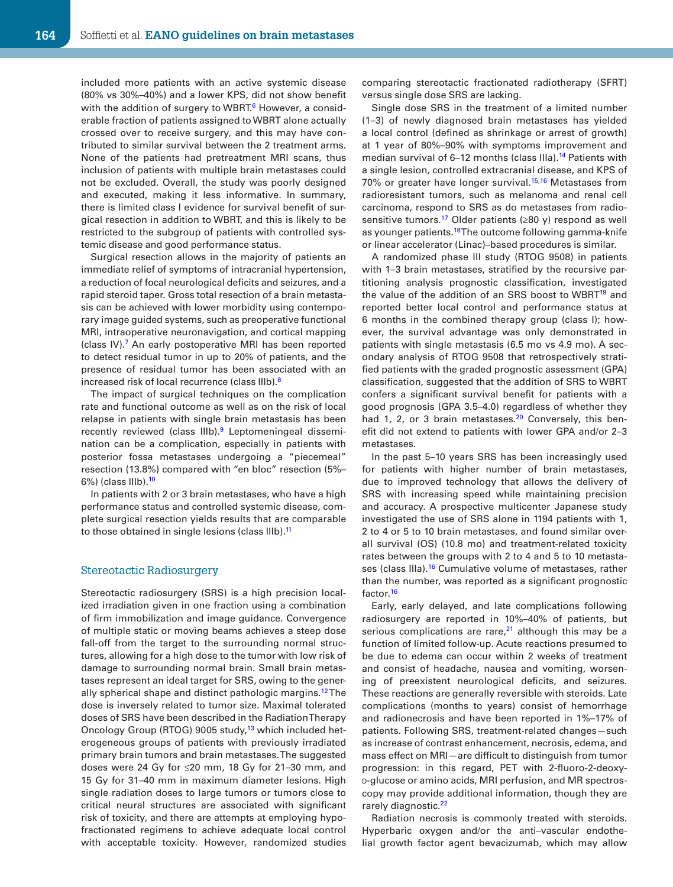included more patients with an active systemic disease (80% vs 30%–40%) and a lower KPS, did not show benefit with the addition of surgery to WBRT.<sup>6</sup> However, a considerable fraction of patients assigned to WBRT alone actually crossed over to receive surgery, and this may have contributed to similar survival between the 2 treatment arms. None of the patients had pretreatment MRI scans, thus inclusion of patients with multiple brain metastases could not be excluded. Overall, the study was poorly designed and executed, making it less informative. In summary, there is limited class I evidence for survival benefit of surgical resection in addition to WBRT, and this is likely to be restricted to the subgroup of patients with controlled systemic disease and good performance status.

Surgical resection allows in the majority of patients an immediate relief of symptoms of intracranial hypertension, a reduction of focal neurological deficits and seizures, and a rapid steroid taper. Gross total resection of a brain metastasis can be achieved with lower morbidity using contemporary image guided systems, such as preoperative functional MRI, intraoperative neuronavigation, and cortical mapping (class IV)[.7](#page-9-5) An early postoperative MRI has been reported to detect residual tumor in up to 20% of patients, and the presence of residual tumor has been associated with an increased risk of local recurrence (class IIIb)[.8](#page-9-6)

The impact of surgical techniques on the complication rate and functional outcome as well as on the risk of local relapse in patients with single brain metastasis has been recently reviewed (class IIIb).<sup>9</sup> Leptomeningeal dissemination can be a complication, especially in patients with posterior fossa metastases undergoing a "piecemeal" resection (13.8%) compared with "en bloc" resection (5%– 6%) (class IIIb)[.10](#page-9-8)

In patients with 2 or 3 brain metastases, who have a high performance status and controlled systemic disease, complete surgical resection yields results that are comparable to those obtained in single lesions (class IIIb).<sup>11</sup>

### Stereotactic Radiosurgery

Stereotactic radiosurgery (SRS) is a high precision localized irradiation given in one fraction using a combination of firm immobilization and image guidance. Convergence of multiple static or moving beams achieves a steep dose fall-off from the target to the surrounding normal structures, allowing for a high dose to the tumor with low risk of damage to surrounding normal brain. Small brain metastases represent an ideal target for SRS, owing to the generally spherical shape and distinct pathologic margins[.12](#page-9-10) The dose is inversely related to tumor size. Maximal tolerated doses of SRS have been described in the Radiation Therapy Oncology Group (RTOG) 9005 study,<sup>13</sup> which included heterogeneous groups of patients with previously irradiated primary brain tumors and brain metastases. The suggested doses were 24 Gy for ≤20 mm, 18 Gy for 21–30 mm, and 15 Gy for 31–40 mm in maximum diameter lesions. High single radiation doses to large tumors or tumors close to critical neural structures are associated with significant risk of toxicity, and there are attempts at employing hypofractionated regimens to achieve adequate local control with acceptable toxicity. However, randomized studies comparing stereotactic fractionated radiotherapy (SFRT) versus single dose SRS are lacking.

Single dose SRS in the treatment of a limited number (1–3) of newly diagnosed brain metastases has yielded a local control (defined as shrinkage or arrest of growth) at 1 year of 80%–90% with symptoms improvement and median survival of 6-12 months (class IIIa).<sup>14</sup> Patients with a single lesion, controlled extracranial disease, and KPS of 70% or greater have longer survival.<sup>[15,](#page-9-13)16</sup> Metastases from radioresistant tumors, such as melanoma and renal cell carcinoma, respond to SRS as do metastases from radiosensitive tumors.<sup>17</sup> Older patients ( $\geq 80$  y) respond as well as younger patients.<sup>18</sup> The outcome following gamma-knife or linear accelerator (Linac)–based procedures is similar.

A randomized phase III study (RTOG 9508) in patients with 1–3 brain metastases, stratified by the recursive partitioning analysis prognostic classification, investigated the value of the addition of an SRS boost to WBRT<sup>19</sup> and reported better local control and performance status at 6 months in the combined therapy group (class I); however, the survival advantage was only demonstrated in patients with single metastasis (6.5 mo vs 4.9 mo). A secondary analysis of RTOG 9508 that retrospectively stratified patients with the graded prognostic assessment (GPA) classification, suggested that the addition of SRS to WBRT confers a significant survival benefit for patients with a good prognosis (GPA 3.5–4.0) regardless of whether they had 1, 2, or 3 brain metastases.<sup>20</sup> Conversely, this benefit did not extend to patients with lower GPA and/or 2–3 metastases.

In the past 5–10 years SRS has been increasingly used for patients with higher number of brain metastases, due to improved technology that allows the delivery of SRS with increasing speed while maintaining precision and accuracy. A prospective multicenter Japanese study investigated the use of SRS alone in 1194 patients with 1, 2 to 4 or 5 to 10 brain metastases, and found similar overall survival (OS) (10.8 mo) and treatment-related toxicity rates between the groups with 2 to 4 and 5 to 10 metasta-ses (class IIIa).<sup>[16](#page-9-14)</sup> Cumulative volume of metastases, rather than the number, was reported as a significant prognostic factor.<sup>[16](#page-9-14)</sup>

Early, early delayed, and late complications following radiosurgery are reported in 10%–40% of patients, but serious complications are rare, $21$  although this may be a function of limited follow-up. Acute reactions presumed to be due to edema can occur within 2 weeks of treatment and consist of headache, nausea and vomiting, worsening of preexistent neurological deficits, and seizures. These reactions are generally reversible with steroids. Late complications (months to years) consist of hemorrhage and radionecrosis and have been reported in 1%–17% of patients. Following SRS, treatment-related changes—such as increase of contrast enhancement, necrosis, edema, and mass effect on MRI—are difficult to distinguish from tumor progression: in this regard, PET with 2-fluoro-2-deoxyd-glucose or amino acids, MRI perfusion, and MR spectroscopy may provide additional information, though they are rarely diagnostic.<sup>[22](#page-9-20)</sup>

Radiation necrosis is commonly treated with steroids. Hyperbaric oxygen and/or the anti–vascular endothelial growth factor agent bevacizumab, which may allow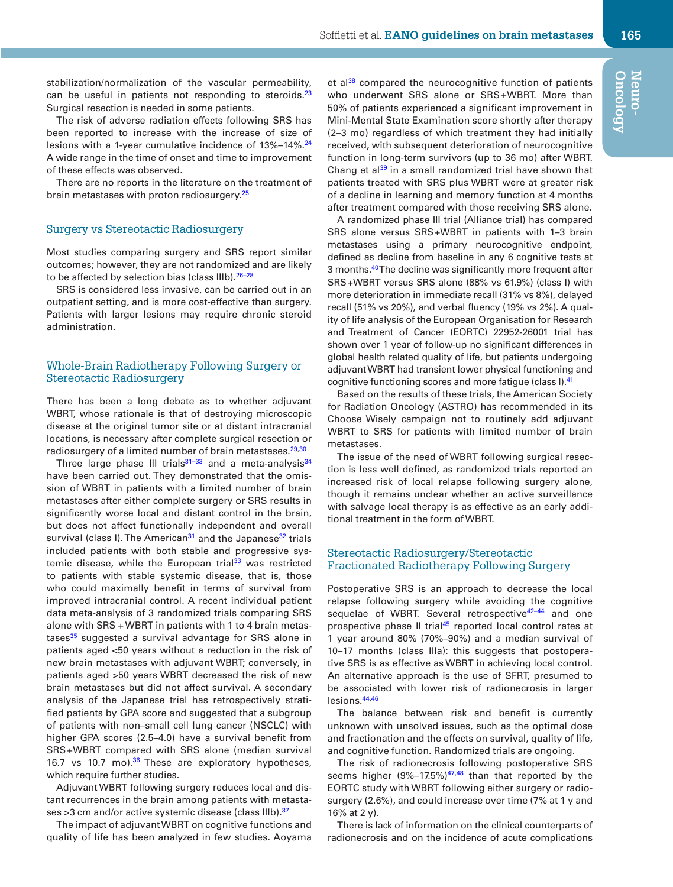stabilization/normalization of the vascular permeability, can be useful in patients not responding to steroids.<sup>[23](#page-9-21)</sup> Surgical resection is needed in some patients.

The risk of adverse radiation effects following SRS has been reported to increase with the increase of size of lesions with a 1-year cumulative incidence of 13%-14%.<sup>[24](#page-9-22)</sup> A wide range in the time of onset and time to improvement of these effects was observed.

There are no reports in the literature on the treatment of brain metastases with proton radiosurgery.<sup>[25](#page-9-23)</sup>

### Surgery vs Stereotactic Radiosurgery

Most studies comparing surgery and SRS report similar outcomes; however, they are not randomized and are likely to be affected by selection bias (class IIIb).<sup>26-[28](#page-9-25)</sup>

SRS is considered less invasive, can be carried out in an outpatient setting, and is more cost-effective than surgery. Patients with larger lesions may require chronic steroid administration.

### Whole-Brain Radiotherapy Following Surgery or Stereotactic Radiosurgery

There has been a long debate as to whether adjuvant WBRT, whose rationale is that of destroying microscopic disease at the original tumor site or at distant intracranial locations, is necessary after complete surgical resection or radiosurgery of a limited number of brain metastases.<sup>29,[30](#page-9-27)</sup>

Three large phase III trials $31-33$  and a meta-analysis $34$ have been carried out. They demonstrated that the omission of WBRT in patients with a limited number of brain metastases after either complete surgery or SRS results in significantly worse local and distant control in the brain, but does not affect functionally independent and overall survival (class I). The American<sup>[31](#page-10-0)</sup> and the Japanese<sup>32</sup> trials included patients with both stable and progressive systemic disease, while the European trial $33$  was restricted to patients with stable systemic disease, that is, those who could maximally benefit in terms of survival from improved intracranial control. A recent individual patient data meta-analysis of 3 randomized trials comparing SRS alone with SRS + WBRT in patients with 1 to 4 brain metastases $35$  suggested a survival advantage for SRS alone in patients aged <50 years without a reduction in the risk of new brain metastases with adjuvant WBRT; conversely, in patients aged >50 years WBRT decreased the risk of new brain metastases but did not affect survival. A secondary analysis of the Japanese trial has retrospectively stratified patients by GPA score and suggested that a subgroup of patients with non–small cell lung cancer (NSCLC) with higher GPA scores (2.5–4.0) have a survival benefit from SRS+WBRT compared with SRS alone (median survival 16.7 vs 10.7 mo).<sup>36</sup> These are exploratory hypotheses, which require further studies.

Adjuvant WBRT following surgery reduces local and distant recurrences in the brain among patients with metasta-ses >3 cm and/or active systemic disease (class IIIb). [37](#page-10-6)

The impact of adjuvant WBRT on cognitive functions and quality of life has been analyzed in few studies. Aoyama et al $^{38}$  compared the neurocognitive function of patients who underwent SRS alone or SRS+WBRT. More than 50% of patients experienced a significant improvement in Mini-Mental State Examination score shortly after therapy (2–3 mo) regardless of which treatment they had initially received, with subsequent deterioration of neurocognitive function in long-term survivors (up to 36 mo) after WBRT. Chang et al<sup>39</sup> in a small randomized trial have shown that patients treated with SRS plus WBRT were at greater risk of a decline in learning and memory function at 4 months after treatment compared with those receiving SRS alone.

A randomized phase III trial (Alliance trial) has compared SRS alone versus SRS+WBRT in patients with 1–3 brain metastases using a primary neurocognitive endpoint, defined as decline from baseline in any 6 cognitive tests at 3 months.<sup>40</sup> The decline was significantly more frequent after SRS+WBRT versus SRS alone (88% vs 61.9%) (class I) with more deterioration in immediate recall (31% vs 8%), delayed recall (51% vs 20%), and verbal fluency (19% vs 2%). A quality of life analysis of the European Organisation for Research and Treatment of Cancer (EORTC) 22952-26001 trial has shown over 1 year of follow-up no significant differences in global health related quality of life, but patients undergoing adjuvant WBRT had transient lower physical functioning and cognitive functioning scores and more fatigue (class I).<sup>41</sup>

Based on the results of these trials, the American Society for Radiation Oncology (ASTRO) has recommended in its Choose Wisely campaign not to routinely add adjuvant WBRT to SRS for patients with limited number of brain metastases.

The issue of the need of WBRT following surgical resection is less well defined, as randomized trials reported an increased risk of local relapse following surgery alone, though it remains unclear whether an active surveillance with salvage local therapy is as effective as an early additional treatment in the form of WBRT.

### Stereotactic Radiosurgery/Stereotactic Fractionated Radiotherapy Following Surgery

Postoperative SRS is an approach to decrease the local relapse following surgery while avoiding the cognitive sequelae of WBRT. Several retrospective<sup>42-44</sup> and one prospective phase II trial<sup>[45](#page-10-12)</sup> reported local control rates at 1 year around 80% (70%–90%) and a median survival of 10–17 months (class IIIa): this suggests that postoperative SRS is as effective as WBRT in achieving local control. An alternative approach is the use of SFRT, presumed to be associated with lower risk of radionecrosis in larger lesions.[44](#page-10-13),[46](#page-10-14)

The balance between risk and benefit is currently unknown with unsolved issues, such as the optimal dose and fractionation and the effects on survival, quality of life, and cognitive function. Randomized trials are ongoing.

The risk of radionecrosis following postoperative SRS seems higher  $(9\%-17.5\%)^{47,48}$  $(9\%-17.5\%)^{47,48}$  $(9\%-17.5\%)^{47,48}$  than that reported by the EORTC study with WBRT following either surgery or radiosurgery (2.6%), and could increase over time (7% at 1 y and 16% at 2 y).

There is lack of information on the clinical counterparts of radionecrosis and on the incidence of acute complications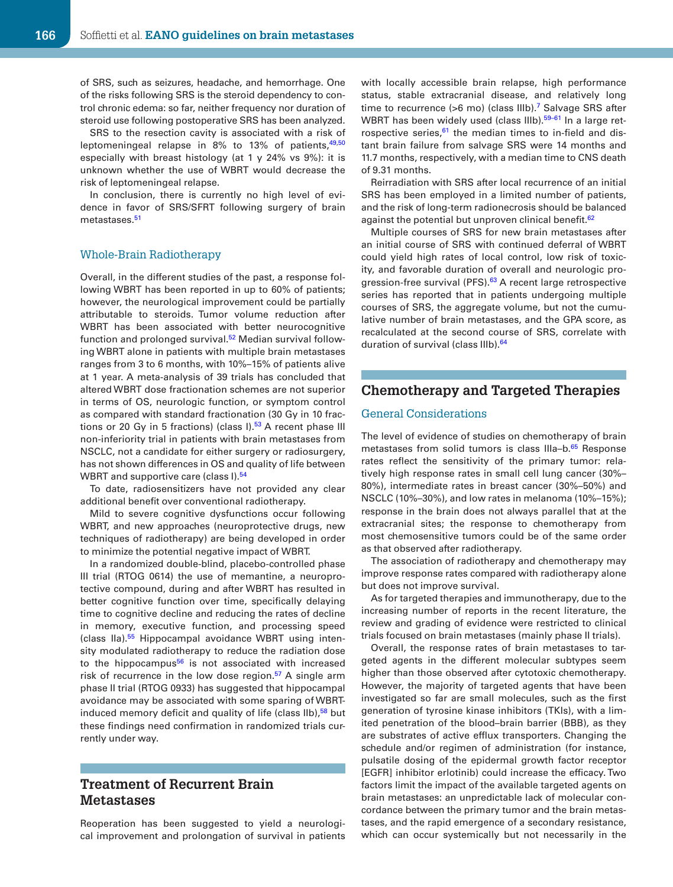of SRS, such as seizures, headache, and hemorrhage. One of the risks following SRS is the steroid dependency to control chronic edema: so far, neither frequency nor duration of steroid use following postoperative SRS has been analyzed.

SRS to the resection cavity is associated with a risk of leptomeningeal relapse in  $8\%$  to 13% of patients,  $49,50$  $49,50$ especially with breast histology (at 1 y 24% vs 9%): it is unknown whether the use of WBRT would decrease the risk of leptomeningeal relapse.

In conclusion, there is currently no high level of evidence in favor of SRS/SFRT following surgery of brain metastases <sup>[51](#page-10-19)</sup>

### Whole-Brain Radiotherapy

Overall, in the different studies of the past, a response following WBRT has been reported in up to 60% of patients; however, the neurological improvement could be partially attributable to steroids. Tumor volume reduction after WBRT has been associated with better neurocognitive function and prolonged survival.<sup>[52](#page-10-20)</sup> Median survival following WBRT alone in patients with multiple brain metastases ranges from 3 to 6 months, with 10%–15% of patients alive at 1 year. A meta-analysis of 39 trials has concluded that altered WBRT dose fractionation schemes are not superior in terms of OS, neurologic function, or symptom control as compared with standard fractionation (30 Gy in 10 fractions or 20 Gy in 5 fractions) (class  $I$ ).<sup>53</sup> A recent phase III non-inferiority trial in patients with brain metastases from NSCLC, not a candidate for either surgery or radiosurgery, has not shown differences in OS and quality of life between WBRT and supportive care (class I).<sup>[54](#page-10-22)</sup>

To date, radiosensitizers have not provided any clear additional benefit over conventional radiotherapy.

Mild to severe cognitive dysfunctions occur following WBRT, and new approaches (neuroprotective drugs, new techniques of radiotherapy) are being developed in order to minimize the potential negative impact of WBRT.

In a randomized double-blind, placebo-controlled phase III trial (RTOG 0614) the use of memantine, a neuroprotective compound, during and after WBRT has resulted in better cognitive function over time, specifically delaying time to cognitive decline and reducing the rates of decline in memory, executive function, and processing speed (class IIa).<sup>55</sup> Hippocampal avoidance WBRT using intensity modulated radiotherapy to reduce the radiation dose to the hippocampus $56$  is not associated with increased risk of recurrence in the low dose region.<sup>57</sup> A single arm phase II trial (RTOG 0933) has suggested that hippocampal avoidance may be associated with some sparing of WBRT-induced memory deficit and quality of life (class IIb),<sup>[58](#page-10-26)</sup> but these findings need confirmation in randomized trials currently under way.

### **Treatment of Recurrent Brain Metastases**

Reoperation has been suggested to yield a neurological improvement and prolongation of survival in patients with locally accessible brain relapse, high performance status, stable extracranial disease, and relatively long time to recurrence ( $>6$  mo) (class IIIb).<sup>7</sup> Salvage SRS after WBRT has been widely used (class IIIb).<sup>59-61</sup> In a large retrospective series, $61$  the median times to in-field and distant brain failure from salvage SRS were 14 months and 11.7 months, respectively, with a median time to CNS death of 9.31 months.

Reirradiation with SRS after local recurrence of an initial SRS has been employed in a limited number of patients, and the risk of long-term radionecrosis should be balanced against the potential but unproven clinical benefit.<sup>[62](#page-10-29)</sup>

Multiple courses of SRS for new brain metastases after an initial course of SRS with continued deferral of WBRT could yield high rates of local control, low risk of toxicity, and favorable duration of overall and neurologic progression-free survival (PFS).<sup>63</sup> A recent large retrospective series has reported that in patients undergoing multiple courses of SRS, the aggregate volume, but not the cumulative number of brain metastases, and the GPA score, as recalculated at the second course of SRS, correlate with duration of survival (class IIIb).<sup>64</sup>

### **Chemotherapy and Targeted Therapies**

### General Considerations

The level of evidence of studies on chemotherapy of brain metastases from solid tumors is class IIIa-b.<sup>[65](#page-10-32)</sup> Response rates reflect the sensitivity of the primary tumor: relatively high response rates in small cell lung cancer (30%– 80%), intermediate rates in breast cancer (30%–50%) and NSCLC (10%–30%), and low rates in melanoma (10%–15%); response in the brain does not always parallel that at the extracranial sites; the response to chemotherapy from most chemosensitive tumors could be of the same order as that observed after radiotherapy.

The association of radiotherapy and chemotherapy may improve response rates compared with radiotherapy alone but does not improve survival.

As for targeted therapies and immunotherapy, due to the increasing number of reports in the recent literature, the review and grading of evidence were restricted to clinical trials focused on brain metastases (mainly phase II trials).

Overall, the response rates of brain metastases to targeted agents in the different molecular subtypes seem higher than those observed after cytotoxic chemotherapy. However, the majority of targeted agents that have been investigated so far are small molecules, such as the first generation of tyrosine kinase inhibitors (TKIs), with a limited penetration of the blood–brain barrier (BBB), as they are substrates of active efflux transporters. Changing the schedule and/or regimen of administration (for instance, pulsatile dosing of the epidermal growth factor receptor [EGFR] inhibitor erlotinib) could increase the efficacy. Two factors limit the impact of the available targeted agents on brain metastases: an unpredictable lack of molecular concordance between the primary tumor and the brain metastases, and the rapid emergence of a secondary resistance, which can occur systemically but not necessarily in the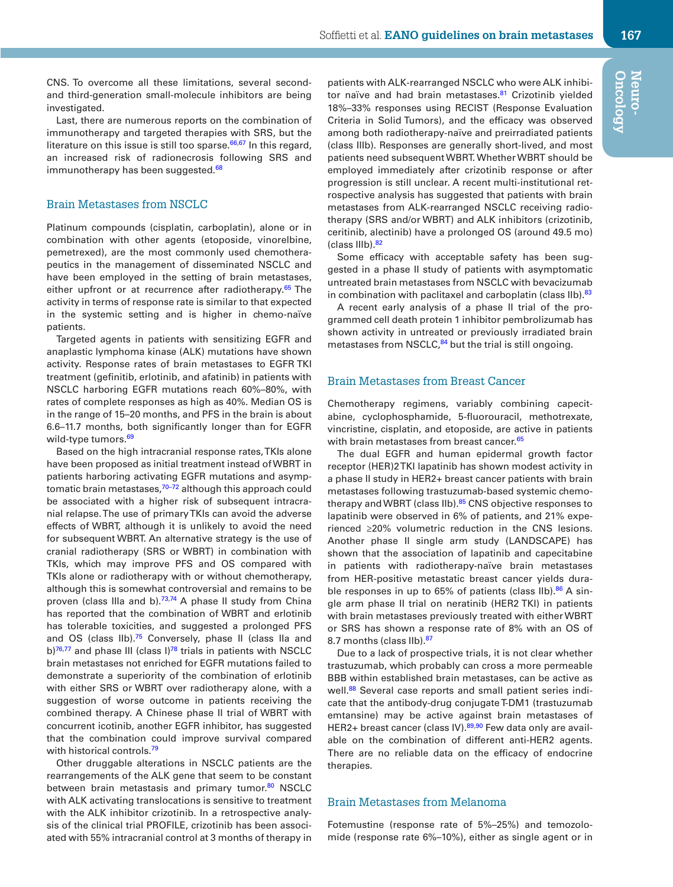CNS. To overcome all these limitations, several secondand third-generation small-molecule inhibitors are being investigated.

Last, there are numerous reports on the combination of immunotherapy and targeted therapies with SRS, but the literature on this issue is still too sparse. $66,67$  $66,67$  $66,67$  In this regard, an increased risk of radionecrosis following SRS and immunotherapy has been suggested.<sup>68</sup>

### Brain Metastases from NSCLC

Platinum compounds (cisplatin, carboplatin), alone or in combination with other agents (etoposide, vinorelbine, pemetrexed), are the most commonly used chemotherapeutics in the management of disseminated NSCLC and have been employed in the setting of brain metastases, either upfront or at recurrence after radiotherapy.<sup>[65](#page-10-32)</sup> The activity in terms of response rate is similar to that expected in the systemic setting and is higher in chemo-naïve patients.

Targeted agents in patients with sensitizing EGFR and anaplastic lymphoma kinase (ALK) mutations have shown activity. Response rates of brain metastases to EGFR TKI treatment (gefinitib, erlotinib, and afatinib) in patients with NSCLC harboring EGFR mutations reach 60%–80%, with rates of complete responses as high as 40%. Median OS is in the range of 15–20 months, and PFS in the brain is about 6.6–11.7 months, both significantly longer than for EGFR wild-type tumors.<sup>[69](#page-11-3)</sup>

Based on the high intracranial response rates, TKIs alone have been proposed as initial treatment instead of WBRT in patients harboring activating EGFR mutations and asymptomatic brain metastases,<sup>70-72</sup> although this approach could be associated with a higher risk of subsequent intracranial relapse. The use of primary TKIs can avoid the adverse effects of WBRT, although it is unlikely to avoid the need for subsequent WBRT. An alternative strategy is the use of cranial radiotherapy (SRS or WBRT) in combination with TKIs, which may improve PFS and OS compared with TKIs alone or radiotherapy with or without chemotherapy, although this is somewhat controversial and remains to be proven (class IIIa and b).<sup>73,[74](#page-11-6)</sup> A phase II study from China has reported that the combination of WBRT and erlotinib has tolerable toxicities, and suggested a prolonged PFS and OS (class  $IIb$ ).<sup>75</sup> Conversely, phase II (class IIa and b)<sup>76,77</sup> and phase III (class I)<sup>78</sup> trials in patients with NSCLC brain metastases not enriched for EGFR mutations failed to demonstrate a superiority of the combination of erlotinib with either SRS or WBRT over radiotherapy alone, with a suggestion of worse outcome in patients receiving the combined therapy. A Chinese phase II trial of WBRT with concurrent icotinib, another EGFR inhibitor, has suggested that the combination could improve survival compared with historical controls.<sup>[79](#page-11-11)</sup>

Other druggable alterations in NSCLC patients are the rearrangements of the ALK gene that seem to be constant between brain metastasis and primary tumor.<sup>[80](#page-11-12)</sup> NSCLC with ALK activating translocations is sensitive to treatment with the ALK inhibitor crizotinib. In a retrospective analysis of the clinical trial PROFILE, crizotinib has been associated with 55% intracranial control at 3 months of therapy in patients with ALK-rearranged NSCLC who were ALK inhibitor naïve and had brain metastases.<sup>81</sup> Crizotinib yielded 18%–33% responses using RECIST (Response Evaluation Criteria in Solid Tumors), and the efficacy was observed among both radiotherapy-naïve and preirradiated patients (class IIIb). Responses are generally short-lived, and most patients need subsequent WBRT. Whether WBRT should be employed immediately after crizotinib response or after progression is still unclear. A recent multi-institutional retrospective analysis has suggested that patients with brain metastases from ALK-rearranged NSCLC receiving radiotherapy (SRS and/or WBRT) and ALK inhibitors (crizotinib, ceritinib, alectinib) have a prolonged OS (around 49.5 mo) (class IIIb)[.82](#page-11-14)

Some efficacy with acceptable safety has been suggested in a phase II study of patients with asymptomatic untreated brain metastases from NSCLC with bevacizumab in combination with paclitaxel and carboplatin (class IIb).<sup>83</sup>

A recent early analysis of a phase II trial of the programmed cell death protein 1 inhibitor pembrolizumab has shown activity in untreated or previously irradiated brain metastases from NSCLC,<sup>[84](#page-11-16)</sup> but the trial is still ongoing.

### Brain Metastases from Breast Cancer

Chemotherapy regimens, variably combining capecitabine, cyclophosphamide, 5-fluorouracil, methotrexate, vincristine, cisplatin, and etoposide, are active in patients with brain metastases from breast cancer.<sup>65</sup>

The dual EGFR and human epidermal growth factor receptor (HER)2 TKI lapatinib has shown modest activity in a phase II study in HER2+ breast cancer patients with brain metastases following trastuzumab-based systemic chemo-therapy and WBRT (class IIb).<sup>[85](#page-11-17)</sup> CNS objective responses to lapatinib were observed in 6% of patients, and 21% experienced ≥20% volumetric reduction in the CNS lesions. Another phase II single arm study (LANDSCAPE) has shown that the association of lapatinib and capecitabine in patients with radiotherapy-naïve brain metastases from HER-positive metastatic breast cancer yields durable responses in up to 65% of patients (class  $IIb$ ).<sup>86</sup> A single arm phase II trial on neratinib (HER2 TKI) in patients with brain metastases previously treated with either WBRT or SRS has shown a response rate of 8% with an OS of 8.7 months (class IIb).<sup>[87](#page-11-19)</sup>

Due to a lack of prospective trials, it is not clear whether trastuzumab, which probably can cross a more permeable BBB within established brain metastases, can be active as well.<sup>88</sup> Several case reports and small patient series indicate that the antibody-drug conjugate T-DM1 (trastuzumab emtansine) may be active against brain metastases of HER2+ breast cancer (class IV).<sup>89,[90](#page-11-22)</sup> Few data only are available on the combination of different anti-HER2 agents. There are no reliable data on the efficacy of endocrine therapies.

### Brain Metastases from Melanoma

Fotemustine (response rate of 5%–25%) and temozolomide (response rate 6%–10%), either as single agent or in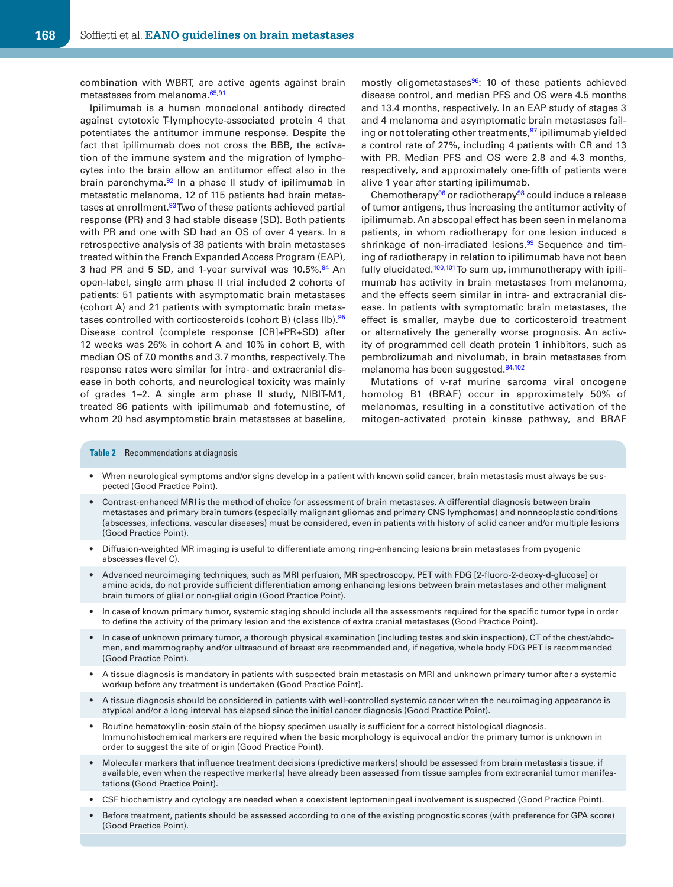combination with WBRT, are active agents against brain metastases from melanoma.<sup>65[,91](#page-11-23)</sup>

Ipilimumab is a human monoclonal antibody directed against cytotoxic T-lymphocyte-associated protein 4 that potentiates the antitumor immune response. Despite the fact that ipilimumab does not cross the BBB, the activation of the immune system and the migration of lymphocytes into the brain allow an antitumor effect also in the brain parenchyma.<sup>[92](#page-11-24)</sup> In a phase II study of ipilimumab in metastatic melanoma, 12 of 115 patients had brain metastases at enrollment.<sup>93</sup> Two of these patients achieved partial response (PR) and 3 had stable disease (SD). Both patients with PR and one with SD had an OS of over 4 years. In a retrospective analysis of 38 patients with brain metastases treated within the French Expanded Access Program (EAP), 3 had PR and 5 SD, and 1-year survival was 10.5%.<sup>94</sup> An open-label, single arm phase II trial included 2 cohorts of patients: 51 patients with asymptomatic brain metastases (cohort A) and 21 patients with symptomatic brain metas-tases controlled with corticosteroids (cohort B) (class IIb).<sup>[95](#page-11-27)</sup> Disease control (complete response [CR]+PR+SD) after 12 weeks was 26% in cohort A and 10% in cohort B, with median OS of 7.0 months and 3.7 months, respectively. The response rates were similar for intra- and extracranial disease in both cohorts, and neurological toxicity was mainly of grades 1–2. A single arm phase II study, NIBIT-M1, treated 86 patients with ipilimumab and fotemustine, of whom 20 had asymptomatic brain metastases at baseline,

mostly oligometastases<sup>96</sup>: 10 of these patients achieved disease control, and median PFS and OS were 4.5 months and 13.4 months, respectively. In an EAP study of stages 3 and 4 melanoma and asymptomatic brain metastases fail-ing or not tolerating other treatments, <sup>[97](#page-11-29)</sup> ipilimumab yielded a control rate of 27%, including 4 patients with CR and 13 with PR. Median PFS and OS were 2.8 and 4.3 months, respectively, and approximately one-fifth of patients were alive 1 year after starting ipilimumab.

Chemotherapy<sup>[96](#page-11-28)</sup> or radiotherapy<sup>[98](#page-11-30)</sup> could induce a release of tumor antigens, thus increasing the antitumor activity of ipilimumab. An abscopal effect has been seen in melanoma patients, in whom radiotherapy for one lesion induced a shrinkage of non-irradiated lesions.<sup>[99](#page-11-31)</sup> Sequence and timing of radiotherapy in relation to ipilimumab have not been fully elucidated.<sup>100[,101](#page-11-33)</sup> To sum up, immunotherapy with ipilimumab has activity in brain metastases from melanoma, and the effects seem similar in intra- and extracranial disease. In patients with symptomatic brain metastases, the effect is smaller, maybe due to corticosteroid treatment or alternatively the generally worse prognosis. An activity of programmed cell death protein 1 inhibitors, such as pembrolizumab and nivolumab, in brain metastases from melanoma has been suggested.<sup>84[,102](#page-11-34)</sup>

Mutations of v-raf murine sarcoma viral oncogene homolog B1 (BRAF) occur in approximately 50% of melanomas, resulting in a constitutive activation of the mitogen-activated protein kinase pathway, and BRAF

#### **Table 2** Recommendations at diagnosis

- When neurological symptoms and/or signs develop in a patient with known solid cancer, brain metastasis must always be suspected (Good Practice Point).
- Contrast-enhanced MRI is the method of choice for assessment of brain metastases. A differential diagnosis between brain metastases and primary brain tumors (especially malignant gliomas and primary CNS lymphomas) and nonneoplastic conditions (abscesses, infections, vascular diseases) must be considered, even in patients with history of solid cancer and/or multiple lesions (Good Practice Point).
- Diffusion-weighted MR imaging is useful to differentiate among ring-enhancing lesions brain metastases from pyogenic abscesses (level C).
- Advanced neuroimaging techniques, such as MRI perfusion, MR spectroscopy, PET with FDG [2-fluoro-2-deoxy-d-glucose] or amino acids, do not provide sufficient differentiation among enhancing lesions between brain metastases and other malignant brain tumors of glial or non-glial origin (Good Practice Point).
- In case of known primary tumor, systemic staging should include all the assessments required for the specific tumor type in order to define the activity of the primary lesion and the existence of extra cranial metastases (Good Practice Point).
- In case of unknown primary tumor, a thorough physical examination (including testes and skin inspection), CT of the chest/abdomen, and mammography and/or ultrasound of breast are recommended and, if negative, whole body FDG PET is recommended (Good Practice Point).
- A tissue diagnosis is mandatory in patients with suspected brain metastasis on MRI and unknown primary tumor after a systemic workup before any treatment is undertaken (Good Practice Point).
- A tissue diagnosis should be considered in patients with well-controlled systemic cancer when the neuroimaging appearance is atypical and/or a long interval has elapsed since the initial cancer diagnosis (Good Practice Point).
- Routine hematoxylin-eosin stain of the biopsy specimen usually is sufficient for a correct histological diagnosis. Immunohistochemical markers are required when the basic morphology is equivocal and/or the primary tumor is unknown in order to suggest the site of origin (Good Practice Point).
- Molecular markers that influence treatment decisions (predictive markers) should be assessed from brain metastasis tissue, if available, even when the respective marker(s) have already been assessed from tissue samples from extracranial tumor manifestations (Good Practice Point).
- CSF biochemistry and cytology are needed when a coexistent leptomeningeal involvement is suspected (Good Practice Point).
- Before treatment, patients should be assessed according to one of the existing prognostic scores (with preference for GPA score) (Good Practice Point).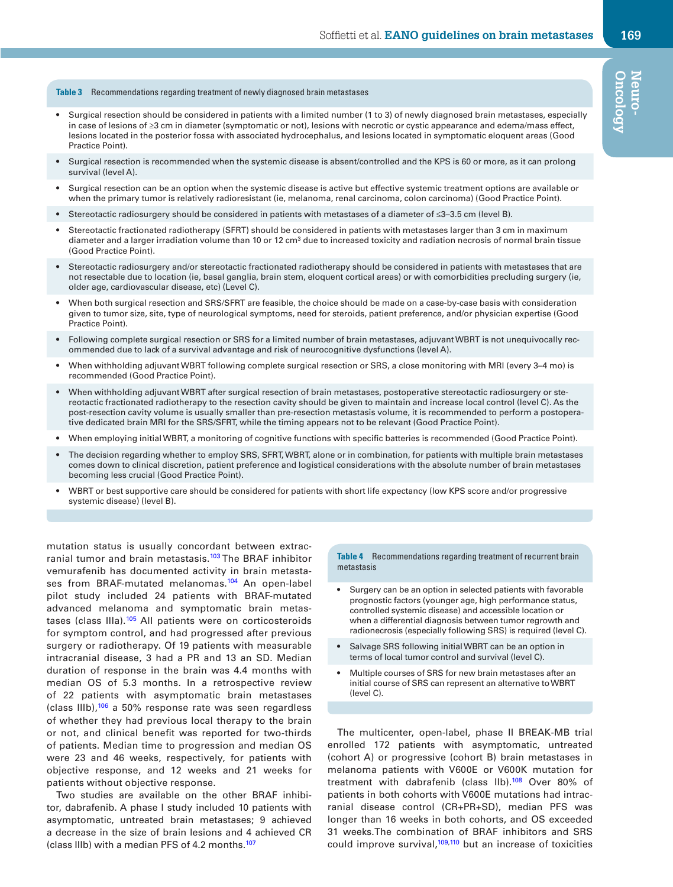**Table 3** Recommendations regarding treatment of newly diagnosed brain metastases

- Surgical resection should be considered in patients with a limited number (1 to 3) of newly diagnosed brain metastases, especially in case of lesions of ≥3 cm in diameter (symptomatic or not), lesions with necrotic or cystic appearance and edema/mass effect, lesions located in the posterior fossa with associated hydrocephalus, and lesions located in symptomatic eloquent areas (Good Practice Point).
- Surgical resection is recommended when the systemic disease is absent/controlled and the KPS is 60 or more, as it can prolong survival (level A).
- Surgical resection can be an option when the systemic disease is active but effective systemic treatment options are available or when the primary tumor is relatively radioresistant (ie, melanoma, renal carcinoma, colon carcinoma) (Good Practice Point).
- Stereotactic radiosurgery should be considered in patients with metastases of a diameter of ≤3–3.5 cm (level B).
- Stereotactic fractionated radiotherapy (SFRT) should be considered in patients with metastases larger than 3 cm in maximum diameter and a larger irradiation volume than 10 or 12 cm<sup>3</sup> due to increased toxicity and radiation necrosis of normal brain tissue (Good Practice Point).
- Stereotactic radiosurgery and/or stereotactic fractionated radiotherapy should be considered in patients with metastases that are not resectable due to location (ie, basal ganglia, brain stem, eloquent cortical areas) or with comorbidities precluding surgery (ie, older age, cardiovascular disease, etc) (Level C).
- When both surgical resection and SRS/SFRT are feasible, the choice should be made on a case-by-case basis with consideration given to tumor size, site, type of neurological symptoms, need for steroids, patient preference, and/or physician expertise (Good Practice Point).
- Following complete surgical resection or SRS for a limited number of brain metastases, adjuvant WBRT is not unequivocally recommended due to lack of a survival advantage and risk of neurocognitive dysfunctions (level A).
- When withholding adjuvant WBRT following complete surgical resection or SRS, a close monitoring with MRI (every 3–4 mo) is recommended (Good Practice Point).
- When withholding adjuvant WBRT after surgical resection of brain metastases, postoperative stereotactic radiosurgery or stereotactic fractionated radiotherapy to the resection cavity should be given to maintain and increase local control (level C). As the post-resection cavity volume is usually smaller than pre-resection metastasis volume, it is recommended to perform a postoperative dedicated brain MRI for the SRS/SFRT, while the timing appears not to be relevant (Good Practice Point).
- When employing initial WBRT, a monitoring of cognitive functions with specific batteries is recommended (Good Practice Point).
- The decision regarding whether to employ SRS, SFRT, WBRT, alone or in combination, for patients with multiple brain metastases comes down to clinical discretion, patient preference and logistical considerations with the absolute number of brain metastases becoming less crucial (Good Practice Point).
- WBRT or best supportive care should be considered for patients with short life expectancy (low KPS score and/or progressive systemic disease) (level B).

mutation status is usually concordant between extracranial tumor and brain metastasis.<sup>103</sup> The BRAF inhibitor vemurafenib has documented activity in brain metastases from BRAF-mutated melanomas.<sup>104</sup> An open-label pilot study included 24 patients with BRAF-mutated advanced melanoma and symptomatic brain metastases (class IIIa).<sup>105</sup> All patients were on corticosteroids for symptom control, and had progressed after previous surgery or radiotherapy. Of 19 patients with measurable intracranial disease, 3 had a PR and 13 an SD. Median duration of response in the brain was 4.4 months with median OS of 5.3 months. In a retrospective review of 22 patients with asymptomatic brain metastases (class IIIb),<sup>106</sup> a 50% response rate was seen regardless of whether they had previous local therapy to the brain or not, and clinical benefit was reported for two-thirds of patients. Median time to progression and median OS were 23 and 46 weeks, respectively, for patients with objective response, and 12 weeks and 21 weeks for patients without objective response.

Two studies are available on the other BRAF inhibitor, dabrafenib. A phase I study included 10 patients with asymptomatic, untreated brain metastases; 9 achieved a decrease in the size of brain lesions and 4 achieved CR (class IIIb) with a median PFS of 4.2 months.<sup>[107](#page-12-3)</sup>

**Table 4** Recommendations regarding treatment of recurrent brain metastasis

- Surgery can be an option in selected patients with favorable prognostic factors (younger age, high performance status, controlled systemic disease) and accessible location or when a differential diagnosis between tumor regrowth and radionecrosis (especially following SRS) is required (level C).
- Salvage SRS following initial WBRT can be an option in terms of local tumor control and survival (level C).
- Multiple courses of SRS for new brain metastases after an initial course of SRS can represent an alternative to WBRT (level C).

The multicenter, open-label, phase II BREAK-MB trial enrolled 172 patients with asymptomatic, untreated (cohort A) or progressive (cohort B) brain metastases in melanoma patients with V600E or V600K mutation for treatment with dabrafenib (class IIb).<sup>108</sup> Over 80% of patients in both cohorts with V600E mutations had intracranial disease control (CR+PR+SD), median PFS was longer than 16 weeks in both cohorts, and OS exceeded 31 weeks.The combination of BRAF inhibitors and SRS could improve survival, $109,110$  but an increase of toxicities **Oncology Neuro-**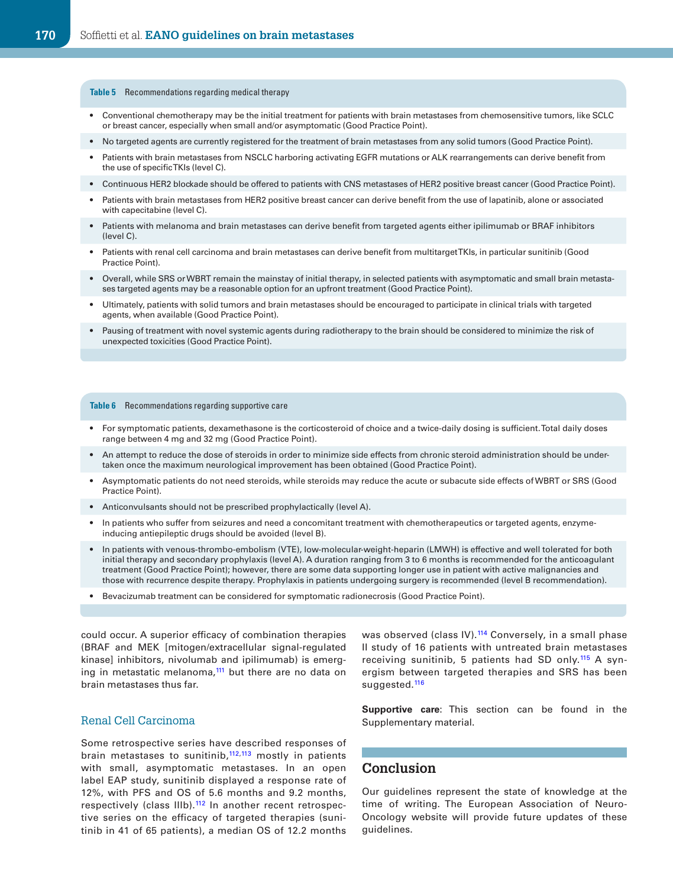#### **Table 5** Recommendations regarding medical therapy

- Conventional chemotherapy may be the initial treatment for patients with brain metastases from chemosensitive tumors, like SCLC or breast cancer, especially when small and/or asymptomatic (Good Practice Point).
- No targeted agents are currently registered for the treatment of brain metastases from any solid tumors (Good Practice Point).
- Patients with brain metastases from NSCLC harboring activating EGFR mutations or ALK rearrangements can derive benefit from the use of specific TKIs (level C).
- Continuous HER2 blockade should be offered to patients with CNS metastases of HER2 positive breast cancer (Good Practice Point).
- Patients with brain metastases from HER2 positive breast cancer can derive benefit from the use of lapatinib, alone or associated with capecitabine (level C).
- Patients with melanoma and brain metastases can derive benefit from targeted agents either ipilimumab or BRAF inhibitors (level C).
- Patients with renal cell carcinoma and brain metastases can derive benefit from multitarget TKIs, in particular sunitinib (Good Practice Point).
- Overall, while SRS or WBRT remain the mainstay of initial therapy, in selected patients with asymptomatic and small brain metastases targeted agents may be a reasonable option for an upfront treatment (Good Practice Point).
- Ultimately, patients with solid tumors and brain metastases should be encouraged to participate in clinical trials with targeted agents, when available (Good Practice Point).
- Pausing of treatment with novel systemic agents during radiotherapy to the brain should be considered to minimize the risk of unexpected toxicities (Good Practice Point).

#### **Table 6** Recommendations regarding supportive care

- For symptomatic patients, dexamethasone is the corticosteroid of choice and a twice-daily dosing is sufficient. Total daily doses range between 4 mg and 32 mg (Good Practice Point).
- An attempt to reduce the dose of steroids in order to minimize side effects from chronic steroid administration should be undertaken once the maximum neurological improvement has been obtained (Good Practice Point).
- Asymptomatic patients do not need steroids, while steroids may reduce the acute or subacute side effects of WBRT or SRS (Good Practice Point).
- Anticonvulsants should not be prescribed prophylactically (level A).
- In patients who suffer from seizures and need a concomitant treatment with chemotherapeutics or targeted agents, enzymeinducing antiepileptic drugs should be avoided (level B).
- In patients with venous-thrombo-embolism (VTE), low-molecular-weight-heparin (LMWH) is effective and well tolerated for both initial therapy and secondary prophylaxis (level A). A duration ranging from 3 to 6 months is recommended for the anticoagulant treatment (Good Practice Point); however, there are some data supporting longer use in patient with active malignancies and those with recurrence despite therapy. Prophylaxis in patients undergoing surgery is recommended (level B recommendation).
- Bevacizumab treatment can be considered for symptomatic radionecrosis (Good Practice Point).

could occur. A superior efficacy of combination therapies (BRAF and MEK [mitogen/extracellular signal-regulated kinase] inhibitors, nivolumab and ipilimumab) is emerging in metastatic melanoma, $111$  but there are no data on brain metastases thus far.

#### Renal Cell Carcinoma

Some retrospective series have described responses of brain metastases to sunitinib, $112,113$  $112,113$  mostly in patients with small, asymptomatic metastases. In an open label EAP study, sunitinib displayed a response rate of 12%, with PFS and OS of 5.6 months and 9.2 months, respectively (class IIIb).<sup>112</sup> In another recent retrospective series on the efficacy of targeted therapies (sunitinib in 41 of 65 patients), a median OS of 12.2 months

was observed (class IV).<sup>114</sup> Conversely, in a small phase II study of 16 patients with untreated brain metastases receiving sunitinib, 5 patients had SD only.<sup>[115](#page-12-11)</sup> A synergism between targeted therapies and SRS has been suggested.<sup>[116](#page-12-12)</sup>

**Supportive care**: This section can be found in the Supplementary material.

### **Conclusion**

Our guidelines represent the state of knowledge at the time of writing. The European Association of Neuro-Oncology website will provide future updates of these guidelines.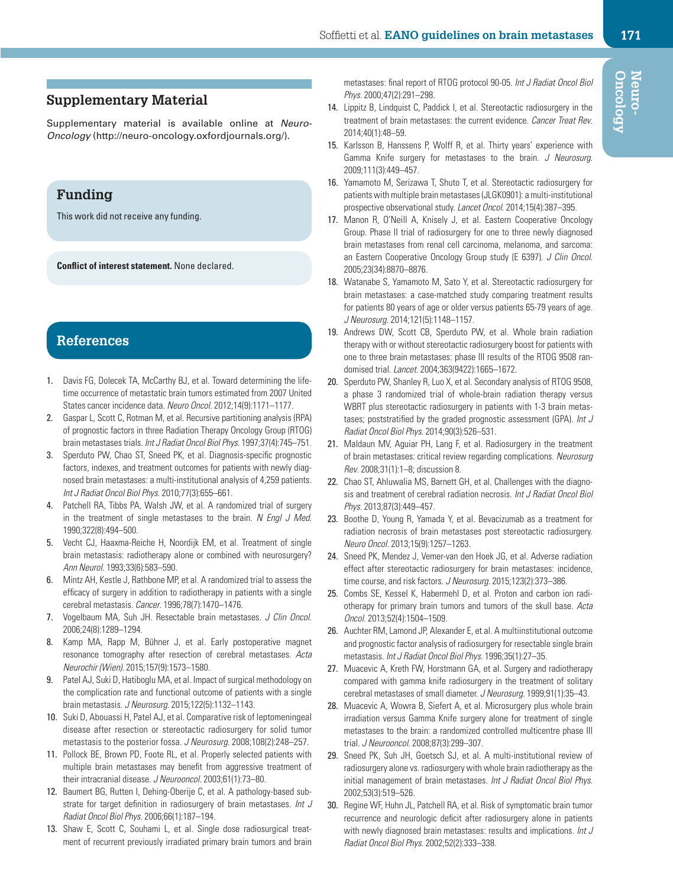## **Supplementary Material**

Supplementary material is available online at *Neuro-Oncology* (http://neuro-oncology.oxfordjournals.org/).

# **Funding**

This work did not receive any funding.

**Conflict of interest statement.** None declared.

# **References**

- <span id="page-9-0"></span>1. Davis FG, Dolecek TA, McCarthy BJ, et al. Toward determining the lifetime occurrence of metastatic brain tumors estimated from 2007 United States cancer incidence data. *Neuro Oncol*. 2012;14(9):1171–1177.
- <span id="page-9-1"></span>2. Gaspar L, Scott C, Rotman M, et al. Recursive partitioning analysis (RPA) of prognostic factors in three Radiation Therapy Oncology Group (RTOG) brain metastases trials. *Int J Radiat Oncol Biol Phys*. 1997;37(4):745–751.
- <span id="page-9-2"></span>3. Sperduto PW, Chao ST, Sneed PK, et al. Diagnosis-specific prognostic factors, indexes, and treatment outcomes for patients with newly diagnosed brain metastases: a multi-institutional analysis of 4,259 patients. *Int J Radiat Oncol Biol Phys*. 2010;77(3):655–661.
- <span id="page-9-3"></span>4. Patchell RA, Tibbs PA, Walsh JW, et al. A randomized trial of surgery in the treatment of single metastases to the brain. *N Engl J Med*. 1990;322(8):494–500.
- 5. Vecht CJ, Haaxma-Reiche H, Noordijk EM, et al. Treatment of single brain metastasis: radiotherapy alone or combined with neurosurgery? *Ann Neurol*. 1993;33(6):583–590.
- <span id="page-9-4"></span>6. Mintz AH, Kestle J, Rathbone MP, et al. A randomized trial to assess the efficacy of surgery in addition to radiotherapy in patients with a single cerebral metastasis. *Cancer*. 1996;78(7):1470–1476.
- <span id="page-9-5"></span>7. Vogelbaum MA, Suh JH. Resectable brain metastases. *J Clin Oncol*. 2006;24(8):1289–1294.
- <span id="page-9-6"></span>8. Kamp MA, Rapp M, Bühner J, et al. Early postoperative magnet resonance tomography after resection of cerebral metastases. *Acta Neurochir (Wien)*. 2015;157(9):1573–1580.
- <span id="page-9-7"></span>9. Patel AJ, Suki D, Hatiboglu MA, et al. Impact of surgical methodology on the complication rate and functional outcome of patients with a single brain metastasis. *J Neurosurg*. 2015;122(5):1132–1143.
- <span id="page-9-8"></span>10. Suki D, Abouassi H, Patel AJ, et al. Comparative risk of leptomeningeal disease after resection or stereotactic radiosurgery for solid tumor metastasis to the posterior fossa. *J Neurosurg*. 2008;108(2):248–257.
- <span id="page-9-9"></span>11. Pollock BE, Brown PD, Foote RL, et al. Properly selected patients with multiple brain metastases may benefit from aggressive treatment of their intracranial disease. *J Neurooncol*. 2003;61(1):73–80.
- <span id="page-9-10"></span>12. Baumert BG, Rutten I, Dehing-Oberije C, et al. A pathology-based substrate for target definition in radiosurgery of brain metastases. *Int J Radiat Oncol Biol Phys*. 2006;66(1):187–194.
- <span id="page-9-11"></span>13. Shaw E, Scott C, Souhami L, et al. Single dose radiosurgical treatment of recurrent previously irradiated primary brain tumors and brain

metastases: final report of RTOG protocol 90-05. *Int J Radiat Oncol Biol Phys*. 2000;47(2):291–298.

- <span id="page-9-12"></span>14. Lippitz B, Lindquist C, Paddick I, et al. Stereotactic radiosurgery in the treatment of brain metastases: the current evidence. *Cancer Treat Rev*. 2014;40(1):48–59.
- <span id="page-9-13"></span>15. Karlsson B, Hanssens P, Wolff R, et al. Thirty years' experience with Gamma Knife surgery for metastases to the brain. *J Neurosurg*. 2009;111(3):449–457.
- <span id="page-9-14"></span>16. Yamamoto M, Serizawa T, Shuto T, et al. Stereotactic radiosurgery for patients with multiple brain metastases (JLGK0901): a multi-institutional prospective observational study. *Lancet Oncol*. 2014;15(4):387–395.
- <span id="page-9-15"></span>17. Manon R, O'Neill A, Knisely J, et al. Eastern Cooperative Oncology Group. Phase II trial of radiosurgery for one to three newly diagnosed brain metastases from renal cell carcinoma, melanoma, and sarcoma: an Eastern Cooperative Oncology Group study (E 6397). *J Clin Oncol*. 2005;23(34):8870–8876.
- <span id="page-9-16"></span>18. Watanabe S, Yamamoto M, Sato Y, et al. Stereotactic radiosurgery for brain metastases: a case-matched study comparing treatment results for patients 80 years of age or older versus patients 65-79 years of age. *J Neurosurg*. 2014;121(5):1148–1157.
- <span id="page-9-17"></span>19. Andrews DW, Scott CB, Sperduto PW, et al. Whole brain radiation therapy with or without stereotactic radiosurgery boost for patients with one to three brain metastases: phase III results of the RTOG 9508 randomised trial. *Lancet*. 2004;363(9422):1665–1672.
- <span id="page-9-18"></span>20. Sperduto PW, Shanley R, Luo X, et al. Secondary analysis of RTOG 9508, a phase 3 randomized trial of whole-brain radiation therapy versus WBRT plus stereotactic radiosurgery in patients with 1-3 brain metastases; poststratified by the graded prognostic assessment (GPA). *Int J Radiat Oncol Biol Phys*. 2014;90(3):526–531.
- <span id="page-9-19"></span>21. Maldaun MV, Aguiar PH, Lang F, et al. Radiosurgery in the treatment of brain metastases: critical review regarding complications. *Neurosurg Rev*. 2008;31(1):1–8; discussion 8.
- <span id="page-9-20"></span>22. Chao ST, Ahluwalia MS, Barnett GH, et al. Challenges with the diagnosis and treatment of cerebral radiation necrosis. *Int J Radiat Oncol Biol Phys*. 2013;87(3):449–457.
- <span id="page-9-21"></span>23. Boothe D, Young R, Yamada Y, et al. Bevacizumab as a treatment for radiation necrosis of brain metastases post stereotactic radiosurgery. *Neuro Oncol*. 2013;15(9):1257–1263.
- <span id="page-9-22"></span>24. Sneed PK, Mendez J, Vemer-van den Hoek JG, et al. Adverse radiation effect after stereotactic radiosurgery for brain metastases: incidence, time course, and risk factors. *J Neurosurg*. 2015;123(2):373–386.
- <span id="page-9-23"></span>25. Combs SE, Kessel K, Habermehl D, et al. Proton and carbon ion radiotherapy for primary brain tumors and tumors of the skull base. *Acta Oncol*. 2013;52(4):1504–1509.
- <span id="page-9-24"></span>26. Auchter RM, Lamond JP, Alexander E, et al. A multiinstitutional outcome and prognostic factor analysis of radiosurgery for resectable single brain metastasis. *Int J Radiat Oncol Biol Phys*. 1996;35(1):27–35.
- 27. Muacevic A, Kreth FW, Horstmann GA, et al. Surgery and radiotherapy compared with gamma knife radiosurgery in the treatment of solitary cerebral metastases of small diameter. *J Neurosurg*. 1999;91(1):35–43.
- <span id="page-9-25"></span>28. Muacevic A, Wowra B, Siefert A, et al. Microsurgery plus whole brain irradiation versus Gamma Knife surgery alone for treatment of single metastases to the brain: a randomized controlled multicentre phase III trial. *J Neurooncol*. 2008;87(3):299–307.
- <span id="page-9-26"></span>29. Sneed PK, Suh JH, Goetsch SJ, et al. A multi-institutional review of radiosurgery alone vs. radiosurgery with whole brain radiotherapy as the initial management of brain metastases. *Int J Radiat Oncol Biol Phys*. 2002;53(3):519–526.
- <span id="page-9-27"></span>30. Regine WF, Huhn JL, Patchell RA, et al. Risk of symptomatic brain tumor recurrence and neurologic deficit after radiosurgery alone in patients with newly diagnosed brain metastases: results and implications. *Int J Radiat Oncol Biol Phys*. 2002;52(2):333–338.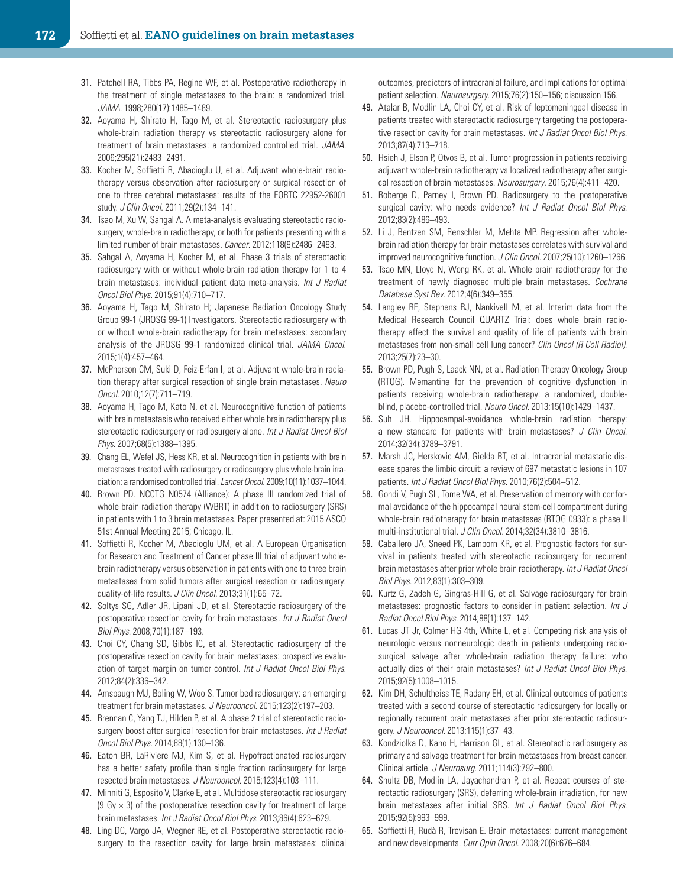- <span id="page-10-0"></span>31. Patchell RA, Tibbs PA, Regine WF, et al. Postoperative radiotherapy in the treatment of single metastases to the brain: a randomized trial. *JAMA*. 1998;280(17):1485–1489.
- <span id="page-10-2"></span>32. Aoyama H, Shirato H, Tago M, et al. Stereotactic radiosurgery plus whole-brain radiation therapy vs stereotactic radiosurgery alone for treatment of brain metastases: a randomized controlled trial. *JAMA*. 2006;295(21):2483–2491.
- <span id="page-10-3"></span>33. Kocher M, Soffietti R, Abacioglu U, et al. Adjuvant whole-brain radiotherapy versus observation after radiosurgery or surgical resection of one to three cerebral metastases: results of the EORTC 22952-26001 study. *J Clin Oncol*. 2011;29(2):134–141.
- <span id="page-10-1"></span>34. Tsao M, Xu W, Sahgal A. A meta-analysis evaluating stereotactic radiosurgery, whole-brain radiotherapy, or both for patients presenting with a limited number of brain metastases. *Cancer*. 2012;118(9):2486–2493.
- <span id="page-10-4"></span>35. Sahgal A, Aoyama H, Kocher M, et al. Phase 3 trials of stereotactic radiosurgery with or without whole-brain radiation therapy for 1 to 4 brain metastases: individual patient data meta-analysis. *Int J Radiat Oncol Biol Phys*. 2015;91(4):710–717.
- <span id="page-10-5"></span>36. Aoyama H, Tago M, Shirato H; Japanese Radiation Oncology Study Group 99-1 (JROSG 99-1) Investigators. Stereotactic radiosurgery with or without whole-brain radiotherapy for brain metastases: secondary analysis of the JROSG 99-1 randomized clinical trial. *JAMA Oncol*. 2015;1(4):457–464.
- <span id="page-10-6"></span>37. McPherson CM, Suki D, Feiz-Erfan I, et al. Adjuvant whole-brain radiation therapy after surgical resection of single brain metastases. *Neuro Oncol*. 2010;12(7):711–719.
- <span id="page-10-7"></span>38. Aoyama H, Tago M, Kato N, et al. Neurocognitive function of patients with brain metastasis who received either whole brain radiotherapy plus stereotactic radiosurgery or radiosurgery alone. *Int J Radiat Oncol Biol Phys*. 2007;68(5):1388–1395.
- <span id="page-10-8"></span>39. Chang EL, Wefel JS, Hess KR, et al. Neurocognition in patients with brain metastases treated with radiosurgery or radiosurgery plus whole-brain irradiation: a randomised controlled trial. *Lancet Oncol*. 2009;10(11):1037–1044.
- <span id="page-10-9"></span>40. Brown PD. NCCTG N0574 (Alliance): A phase III randomized trial of whole brain radiation therapy (WBRT) in addition to radiosurgery (SRS) in patients with 1 to 3 brain metastases. Paper presented at: 2015 ASCO 51st Annual Meeting 2015; Chicago, IL.
- <span id="page-10-10"></span>41. Soffietti R, Kocher M, Abacioglu UM, et al. A European Organisation for Research and Treatment of Cancer phase III trial of adjuvant wholebrain radiotherapy versus observation in patients with one to three brain metastases from solid tumors after surgical resection or radiosurgery: quality-of-life results. *J Clin Oncol*. 2013;31(1):65–72.
- <span id="page-10-11"></span>42. Soltys SG, Adler JR, Lipani JD, et al. Stereotactic radiosurgery of the postoperative resection cavity for brain metastases. *Int J Radiat Oncol Biol Phys*. 2008;70(1):187–193.
- 43. Choi CY, Chang SD, Gibbs IC, et al. Stereotactic radiosurgery of the postoperative resection cavity for brain metastases: prospective evaluation of target margin on tumor control. *Int J Radiat Oncol Biol Phys*. 2012;84(2):336–342.
- <span id="page-10-13"></span>44. Amsbaugh MJ, Boling W, Woo S. Tumor bed radiosurgery: an emerging treatment for brain metastases. *J Neurooncol*. 2015;123(2):197–203.
- <span id="page-10-12"></span>45. Brennan C, Yang TJ, Hilden P, et al. A phase 2 trial of stereotactic radiosurgery boost after surgical resection for brain metastases. *Int J Radiat Oncol Biol Phys*. 2014;88(1):130–136.
- <span id="page-10-14"></span>46. Eaton BR, LaRiviere MJ, Kim S, et al. Hypofractionated radiosurgery has a better safety profile than single fraction radiosurgery for large resected brain metastases. *J Neurooncol*. 2015;123(4):103–111.
- <span id="page-10-15"></span>47. Minniti G, Esposito V, Clarke E, et al. Multidose stereotactic radiosurgery (9 Gy  $\times$  3) of the postoperative resection cavity for treatment of large brain metastases. *Int J Radiat Oncol Biol Phys*. 2013;86(4):623–629.
- <span id="page-10-16"></span>48. Ling DC, Vargo JA, Wegner RE, et al. Postoperative stereotactic radiosurgery to the resection cavity for large brain metastases: clinical

outcomes, predictors of intracranial failure, and implications for optimal patient selection. *Neurosurgery*. 2015;76(2):150–156; discussion 156.

- <span id="page-10-17"></span>49. Atalar B, Modlin LA, Choi CY, et al. Risk of leptomeningeal disease in patients treated with stereotactic radiosurgery targeting the postoperative resection cavity for brain metastases. *Int J Radiat Oncol Biol Phys*. 2013;87(4):713–718.
- <span id="page-10-18"></span>50. Hsieh J, Elson P, Otvos B, et al. Tumor progression in patients receiving adjuvant whole-brain radiotherapy vs localized radiotherapy after surgical resection of brain metastases. *Neurosurgery*. 2015;76(4):411–420.
- <span id="page-10-19"></span>51. Roberge D, Parney I, Brown PD. Radiosurgery to the postoperative surgical cavity: who needs evidence? *Int J Radiat Oncol Biol Phys*. 2012;83(2):486–493.
- <span id="page-10-20"></span>52. Li J, Bentzen SM, Renschler M, Mehta MP. Regression after wholebrain radiation therapy for brain metastases correlates with survival and improved neurocognitive function. *J Clin Oncol*. 2007;25(10):1260–1266.
- <span id="page-10-21"></span>53. Tsao MN, Lloyd N, Wong RK, et al. Whole brain radiotherapy for the treatment of newly diagnosed multiple brain metastases. *Cochrane Database Syst Rev*. 2012;4(6):349–355.
- <span id="page-10-22"></span>54. Langley RE, Stephens RJ, Nankivell M, et al. Interim data from the Medical Research Council QUARTZ Trial: does whole brain radiotherapy affect the survival and quality of life of patients with brain metastases from non-small cell lung cancer? *Clin Oncol (R Coll Radiol)*. 2013;25(7):23–30.
- <span id="page-10-23"></span>55. Brown PD, Pugh S, Laack NN, et al. Radiation Therapy Oncology Group (RTOG). Memantine for the prevention of cognitive dysfunction in patients receiving whole-brain radiotherapy: a randomized, doubleblind, placebo-controlled trial. *Neuro Oncol*. 2013;15(10):1429–1437.
- <span id="page-10-24"></span>56. Suh JH. Hippocampal-avoidance whole-brain radiation therapy: a new standard for patients with brain metastases? *J Clin Oncol*. 2014;32(34):3789–3791.
- <span id="page-10-25"></span>57. Marsh JC, Herskovic AM, Gielda BT, et al. Intracranial metastatic disease spares the limbic circuit: a review of 697 metastatic lesions in 107 patients. *Int J Radiat Oncol Biol Phys*. 2010;76(2):504–512.
- <span id="page-10-26"></span>58. Gondi V, Pugh SL, Tome WA, et al. Preservation of memory with conformal avoidance of the hippocampal neural stem-cell compartment during whole-brain radiotherapy for brain metastases (RTOG 0933): a phase II multi-institutional trial. *J Clin Oncol*. 2014;32(34):3810–3816.
- <span id="page-10-27"></span>59. Caballero JA, Sneed PK, Lamborn KR, et al. Prognostic factors for survival in patients treated with stereotactic radiosurgery for recurrent brain metastases after prior whole brain radiotherapy. *Int J Radiat Oncol Biol Phys*. 2012;83(1):303–309.
- 60. Kurtz G, Zadeh G, Gingras-Hill G, et al. Salvage radiosurgery for brain metastases: prognostic factors to consider in patient selection. *Int J Radiat Oncol Biol Phys*. 2014;88(1):137–142.
- <span id="page-10-28"></span>61. Lucas JT Jr, Colmer HG 4th, White L, et al. Competing risk analysis of neurologic versus nonneurologic death in patients undergoing radiosurgical salvage after whole-brain radiation therapy failure: who actually dies of their brain metastases? *Int J Radiat Oncol Biol Phys*. 2015;92(5):1008–1015.
- <span id="page-10-29"></span>62. Kim DH, Schultheiss TE, Radany EH, et al. Clinical outcomes of patients treated with a second course of stereotactic radiosurgery for locally or regionally recurrent brain metastases after prior stereotactic radiosurgery. *J Neurooncol*. 2013;115(1):37–43.
- <span id="page-10-30"></span>63. Kondziolka D, Kano H, Harrison GL, et al. Stereotactic radiosurgery as primary and salvage treatment for brain metastases from breast cancer. Clinical article. *J Neurosurg*. 2011;114(3):792–800.
- <span id="page-10-31"></span>64. Shultz DB, Modlin LA, Jayachandran P, et al. Repeat courses of stereotactic radiosurgery (SRS), deferring whole-brain irradiation, for new brain metastases after initial SRS. *Int J Radiat Oncol Biol Phys*. 2015;92(5):993–999.
- <span id="page-10-32"></span>65. Soffietti R, Rudà R, Trevisan E. Brain metastases: current management and new developments. *Curr Opin Oncol*. 2008;20(6):676–684.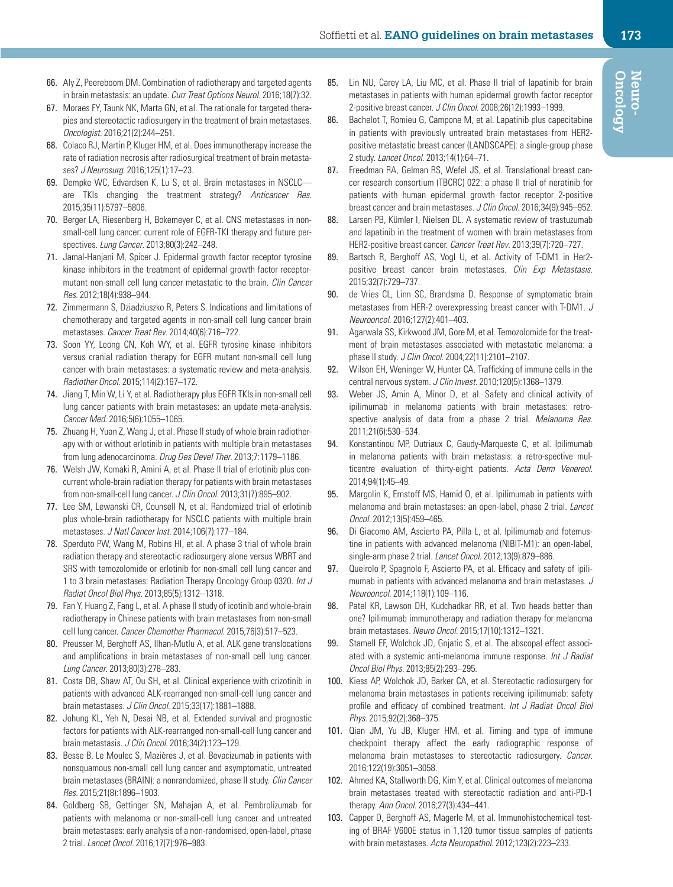- <span id="page-11-0"></span>66. Aly Z, Peereboom DM. Combination of radiotherapy and targeted agents in brain metastasis: an update. *Curr Treat Options Neurol*. 2016;18(7):32.
- <span id="page-11-1"></span>67. Moraes FY, Taunk NK, Marta GN, et al. The rationale for targeted therapies and stereotactic radiosurgery in the treatment of brain metastases. *Oncologist*. 2016;21(2):244–251.
- <span id="page-11-2"></span>68. Colaco RJ, Martin P, Kluger HM, et al. Does immunotherapy increase the rate of radiation necrosis after radiosurgical treatment of brain metastases? *J Neurosurg*. 2016;125(1):17–23.
- <span id="page-11-3"></span>69. Dempke WC, Edvardsen K, Lu S, et al. Brain metastases in NSCLC are TKIs changing the treatment strategy? *Anticancer Res*. 2015;35(11):5797–5806.
- <span id="page-11-4"></span>70. Berger LA, Riesenberg H, Bokemeyer C, et al. CNS metastases in nonsmall-cell lung cancer: current role of EGFR-TKI therapy and future perspectives. *Lung Cancer*. 2013;80(3):242–248.
- 71. Jamal-Hanjani M, Spicer J. Epidermal growth factor receptor tyrosine kinase inhibitors in the treatment of epidermal growth factor receptormutant non-small cell lung cancer metastatic to the brain. *Clin Cancer Res*. 2012;18(4):938–944.
- 72. Zimmermann S, Dziadziuszko R, Peters S. Indications and limitations of chemotherapy and targeted agents in non-small cell lung cancer brain metastases. *Cancer Treat Rev*. 2014;40(6):716–722.
- <span id="page-11-5"></span>73. Soon YY, Leong CN, Koh WY, et al. EGFR tyrosine kinase inhibitors versus cranial radiation therapy for EGFR mutant non-small cell lung cancer with brain metastases: a systematic review and meta-analysis. *Radiother Oncol*. 2015;114(2):167–172.
- <span id="page-11-6"></span>74. Jiang T, Min W, Li Y, et al. Radiotherapy plus EGFR TKIs in non-small cell lung cancer patients with brain metastases: an update meta-analysis. *Cancer Med*. 2016;5(6):1055–1065.
- <span id="page-11-7"></span>75. Zhuang H, Yuan Z, Wang J, et al. Phase II study of whole brain radiotherapy with or without erlotinib in patients with multiple brain metastases from lung adenocarcinoma. *Drug Des Devel Ther*. 2013;7:1179–1186.
- <span id="page-11-8"></span>76. Welsh JW, Komaki R, Amini A, et al. Phase II trial of erlotinib plus concurrent whole-brain radiation therapy for patients with brain metastases from non-small-cell lung cancer. *J Clin Oncol*. 2013;31(7):895–902.
- <span id="page-11-9"></span>77. Lee SM, Lewanski CR, Counsell N, et al. Randomized trial of erlotinib plus whole-brain radiotherapy for NSCLC patients with multiple brain metastases. *J Natl Cancer Inst*. 2014;106(7):177–184.
- <span id="page-11-10"></span>78. Sperduto PW, Wang M, Robins HI, et al. A phase 3 trial of whole brain radiation therapy and stereotactic radiosurgery alone versus WBRT and SRS with temozolomide or erlotinib for non-small cell lung cancer and 1 to 3 brain metastases: Radiation Therapy Oncology Group 0320. *Int J Radiat Oncol Biol Phys*. 2013;85(5):1312–1318.
- <span id="page-11-11"></span>79. Fan Y, Huang Z, Fang L, et al. A phase II study of icotinib and whole-brain radiotherapy in Chinese patients with brain metastases from non-small cell lung cancer. *Cancer Chemother Pharmacol*. 2015;76(3):517–523.
- <span id="page-11-12"></span>80. Preusser M, Berghoff AS, Ilhan-Mutlu A, et al. ALK gene translocations and amplifications in brain metastases of non-small cell lung cancer. *Lung Cancer*. 2013;80(3):278–283.
- <span id="page-11-13"></span>81. Costa DB, Shaw AT, Ou SH, et al. Clinical experience with crizotinib in patients with advanced ALK-rearranged non-small-cell lung cancer and brain metastases. *J Clin Oncol*. 2015;33(17):1881–1888.
- <span id="page-11-14"></span>82. Johung KL, Yeh N, Desai NB, et al. Extended survival and prognostic factors for patients with ALK-rearranged non-small-cell lung cancer and brain metastasis. *J Clin Oncol*. 2016;34(2):123–129.
- <span id="page-11-15"></span>83. Besse B, Le Moulec S, Mazières J, et al. Bevacizumab in patients with nonsquamous non-small cell lung cancer and asymptomatic, untreated brain metastases (BRAIN): a nonrandomized, phase II study. *Clin Cancer Res*. 2015;21(8):1896–1903.
- <span id="page-11-16"></span>84. Goldberg SB, Gettinger SN, Mahajan A, et al. Pembrolizumab for patients with melanoma or non-small-cell lung cancer and untreated brain metastases: early analysis of a non-randomised, open-label, phase 2 trial. *Lancet Oncol*. 2016;17(7):976–983.
- <span id="page-11-17"></span>85. Lin NU, Carey LA, Liu MC, et al. Phase II trial of lapatinib for brain metastases in patients with human epidermal growth factor receptor 2-positive breast cancer. *J Clin Oncol*. 2008;26(12):1993–1999.
- <span id="page-11-18"></span>86. Bachelot T, Romieu G, Campone M, et al. Lapatinib plus capecitabine in patients with previously untreated brain metastases from HER2 positive metastatic breast cancer (LANDSCAPE): a single-group phase 2 study. *Lancet Oncol*. 2013;14(1):64–71.
- <span id="page-11-19"></span>87. Freedman RA, Gelman RS, Wefel JS, et al. Translational breast cancer research consortium (TBCRC) 022: a phase II trial of neratinib for patients with human epidermal growth factor receptor 2-positive breast cancer and brain metastases. *J Clin Oncol*. 2016;34(9):945–952.
- <span id="page-11-20"></span>88. Larsen PB, Kümler I, Nielsen DL. A systematic review of trastuzumab and lapatinib in the treatment of women with brain metastases from HER2-positive breast cancer. *Cancer Treat Rev*. 2013;39(7):720–727.
- <span id="page-11-21"></span>89. Bartsch R, Berghoff AS, Vogl U, et al. Activity of T-DM1 in Her2positive breast cancer brain metastases. *Clin Exp Metastasis*. 2015;32(7):729–737.
- <span id="page-11-22"></span>90. de Vries CL, Linn SC, Brandsma D. Response of symptomatic brain metastases from HER-2 overexpressing breast cancer with T-DM1. *J Neurooncol*. 2016;127(2):401–403.
- <span id="page-11-23"></span>91. Agarwala SS, Kirkwood JM, Gore M, et al. Temozolomide for the treatment of brain metastases associated with metastatic melanoma: a phase II study. *J Clin Oncol*. 2004;22(11):2101–2107.
- <span id="page-11-24"></span>92. Wilson EH, Weninger W, Hunter CA. Trafficking of immune cells in the central nervous system. *J Clin Invest*. 2010;120(5):1368–1379.
- <span id="page-11-25"></span>93. Weber JS, Amin A, Minor D, et al. Safety and clinical activity of ipilimumab in melanoma patients with brain metastases: retrospective analysis of data from a phase 2 trial. *Melanoma Res*. 2011;21(6):530–534.
- <span id="page-11-26"></span>94. Konstantinou MP, Dutriaux C, Gaudy-Marqueste C, et al. Ipilimumab in melanoma patients with brain metastasis: a retro-spective multicentre evaluation of thirty-eight patients. *Acta Derm Venereol*. 2014;94(1):45–49.
- <span id="page-11-27"></span>95. Margolin K, Ernstoff MS, Hamid O, et al. Ipilimumab in patients with melanoma and brain metastases: an open-label, phase 2 trial. *Lancet Oncol*. 2012;13(5):459–465.
- <span id="page-11-28"></span>96. Di Giacomo AM, Ascierto PA, Pilla L, et al. Ipilimumab and fotemustine in patients with advanced melanoma (NIBIT-M1): an open-label, single-arm phase 2 trial. *Lancet Oncol*. 2012;13(9):879–886.
- <span id="page-11-29"></span>97. Queirolo P, Spagnolo F, Ascierto PA, et al. Efficacy and safety of ipilimumab in patients with advanced melanoma and brain metastases. *J Neurooncol*. 2014;118(1):109–116.
- <span id="page-11-30"></span>98. Patel KR, Lawson DH, Kudchadkar RR, et al. Two heads better than one? Ipilimumab immunotherapy and radiation therapy for melanoma brain metastases. *Neuro Oncol*. 2015;17(10):1312–1321.
- <span id="page-11-31"></span>99. Stamell EF, Wolchok JD, Gnjatic S, et al. The abscopal effect associated with a systemic anti-melanoma immune response. *Int J Radiat Oncol Biol Phys*. 2013;85(2):293–295.
- <span id="page-11-32"></span>100. Kiess AP, Wolchok JD, Barker CA, et al. Stereotactic radiosurgery for melanoma brain metastases in patients receiving ipilimumab: safety profile and efficacy of combined treatment. *Int J Radiat Oncol Biol Phys*. 2015;92(2):368–375.
- <span id="page-11-33"></span>101. Qian JM, Yu JB, Kluger HM, et al. Timing and type of immune checkpoint therapy affect the early radiographic response of melanoma brain metastases to stereotactic radiosurgery. *Cancer*. 2016;122(19):3051–3058.
- <span id="page-11-34"></span>102. Ahmed KA, Stallworth DG, Kim Y, et al. Clinical outcomes of melanoma brain metastases treated with stereotactic radiation and anti-PD-1 therapy. *Ann Oncol*. 2016;27(3):434–441.
- <span id="page-11-35"></span>103. Capper D, Berghoff AS, Magerle M, et al. Immunohistochemical testing of BRAF V600E status in 1,120 tumor tissue samples of patients with brain metastases. *Acta Neuropathol*. 2012;123(2):223–233.